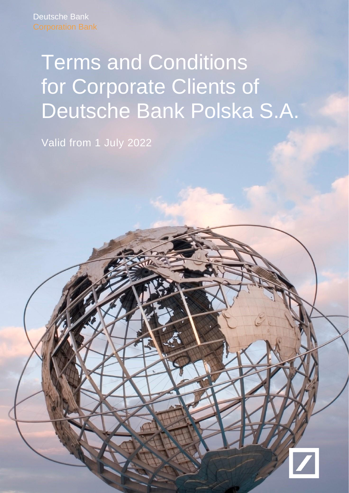# Terms and Conditions for Corporate Clients of Deutsche Bank Polska S.A.

Valid from 1 July 2022

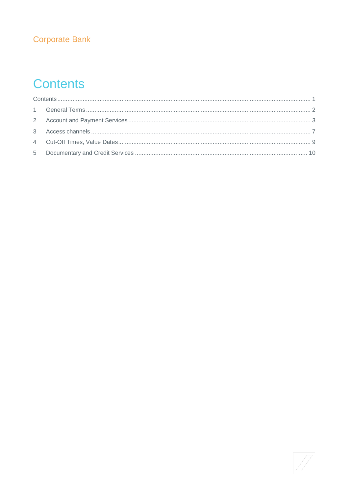# **Corporate Bank**

# <span id="page-1-0"></span>**Contents**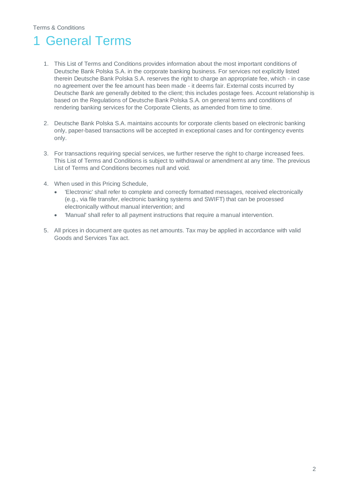# <span id="page-2-0"></span>**General Terms**

- 1. This List of Terms and Conditions provides information about the most important conditions of Deutsche Bank Polska S.A. in the corporate banking business. For services not explicitly listed therein Deutsche Bank Polska S.A. reserves the right to charge an appropriate fee, which - in case no agreement over the fee amount has been made - it deems fair. External costs incurred by Deutsche Bank are generally debited to the client; this includes postage fees. Account relationship is based on the Regulations of Deutsche Bank Polska S.A. on general terms and conditions of rendering banking services for the Corporate Clients, as amended from time to time.
- 2. Deutsche Bank Polska S.A. maintains accounts for corporate clients based on electronic banking only, paper-based transactions will be accepted in exceptional cases and for contingency events only.
- 3. For transactions requiring special services, we further reserve the right to charge increased fees. This List of Terms and Conditions is subject to withdrawal or amendment at any time. The previous List of Terms and Conditions becomes null and void.
- 4. When used in this Pricing Schedule,
	- 'Electronic' shall refer to complete and correctly formatted messages, received electronically (e.g., via file transfer, electronic banking systems and SWIFT) that can be processed electronically without manual intervention; and
	- 'Manual' shall refer to all payment instructions that require a manual intervention.
- 5. All prices in document are quotes as net amounts. Tax may be applied in accordance with valid Goods and Services Tax act.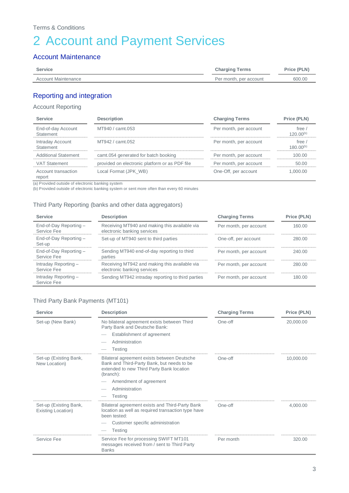# <span id="page-3-0"></span>2 Account and Payment Services

### Account Maintenance

| Service             | <b>Charging Terms</b>  | Price (PLN) |
|---------------------|------------------------|-------------|
| Account Maintenance | Per month, per account | 600.00      |
|                     |                        |             |

### Reporting and integration

### Account Reporting

| <b>Service</b>                  | <b>Description</b>                             | <b>Charging Terms</b>  | Price (PLN)                     |
|---------------------------------|------------------------------------------------|------------------------|---------------------------------|
| End-of-day Account<br>Statement | MT940 / camt.053                               | Per month, per account | free $\prime$<br>$120.00^{(b)}$ |
| Intraday Account<br>Statement   | MT942 / camt.052                               | Per month, per account | free<br>$180.00^{(b)}$          |
| <b>Additional Statement</b>     | camt.054 generated for batch booking           | Per month, per account | 100.00                          |
| <b>VAT Statement</b>            | provided on electronic platform or as PDF file | Per month, per account | 50.00                           |
| Account transaction<br>report   | Local Format (JPK WB)                          | One-Off, per account   | 1.000.00                        |

(a) Provided outside of electronic banking system

(b) Provided outside of electronic banking system or sent more often than every 60 minutes

#### Third Party Reporting (banks and other data aggregators)

| <b>Service</b>                       | <b>Description</b>                                                           | <b>Charging Terms</b>  | Price (PLN) |
|--------------------------------------|------------------------------------------------------------------------------|------------------------|-------------|
| End-of-Day Reporting-<br>Service Fee | Receiving MT940 and making this available via<br>electronic banking services | Per month, per account | 160.00      |
| End-of-Day Reporting-<br>Set-up      | Set-up of MT940 sent to third parties                                        | One-off, per account   | 280.00      |
| End-of-Day Reporting-<br>Service Fee | Sending MT940 end-of-day reporting to third<br>parties                       | Per month, per account | 240.00      |
| Intraday Reporting-<br>Service Fee   | Receiving MT942 and making this available via<br>electronic banking services | Per month, per account | 280.00      |
| Intraday Reporting-<br>Service Fee   | Sending MT942 intraday reporting to third parties                            | Per month, per account | 180.00      |

### Third Party Bank Payments (MT101)

| <b>Service</b>                               | <b>Description</b>                                                                                                                                                                                                | <b>Charging Terms</b> | Price (PLN) |
|----------------------------------------------|-------------------------------------------------------------------------------------------------------------------------------------------------------------------------------------------------------------------|-----------------------|-------------|
| Set-up (New Bank)                            | No bilateral agreement exists between Third<br>Party Bank and Deutsche Bank:<br>Establishment of agreement<br>Administration<br><b>Testing</b>                                                                    | One-off               | 20,000.00   |
| Set-up (Existing Bank,<br>New Location)      | Bilateral agreement exists between Deutsche<br>Bank and Third-Party Bank, but needs to be<br>extended to new Third Party Bank location<br>(branch):<br>Amendment of agreement<br>Administration<br><b>Testing</b> | One-off               | 10,000.00   |
| Set-up (Existing Bank,<br>Existing Location) | Bilateral agreement exists and Third-Party Bank<br>location as well as required transaction type have<br>been tested:<br>Customer specific administration<br><b>Testing</b>                                       | One-off               | 4,000.00    |
| Service Fee                                  | Service Fee for processing SWIFT MT101<br>messages received from / sent to Third Party<br><b>Banks</b>                                                                                                            | Per month             | 320.00      |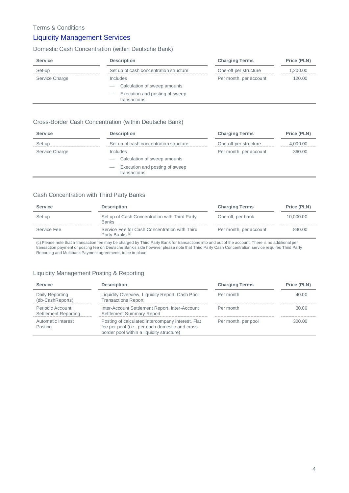### Liquidity Management Services

### Domestic Cash Concentration (within Deutsche Bank)

| <b>Service</b> | <b>Description</b>                                       | <b>Charging Terms</b>  | Price (PLN) |
|----------------|----------------------------------------------------------|------------------------|-------------|
| Set-up         | Set up of cash concentration structure                   | One-off per structure  | 1,200.00    |
| Service Charge | Includes                                                 | Per month, per account | 120.00      |
|                | Calculation of sweep amounts<br>$\overline{\phantom{a}}$ |                        |             |
|                | Execution and posting of sweep<br>_<br>transactions      |                        |             |

#### Cross-Border Cash Concentration (within Deutsche Bank)

| <b>Service</b> | <b>Description</b>                             | <b>Charging Terms</b>  | Price (PLN) |
|----------------|------------------------------------------------|------------------------|-------------|
| Set-up         | Set up of cash concentration structure         | One-off per structure  | 4,000.00    |
| Service Charge | Includes                                       | Per month, per account | 360.00      |
|                | Calculation of sweep amounts                   |                        |             |
|                | Execution and posting of sweep<br>transactions |                        |             |

#### Cash Concentration with Third Party Banks

| <b>Service</b> | <b>Description</b>                                                          | <b>Charging Terms</b>  | Price (PLN) |
|----------------|-----------------------------------------------------------------------------|------------------------|-------------|
| Set-up         | Set up of Cash Concentration with Third Party<br><b>Banks</b>               | One-off, per bank      | 10.000.00   |
| Service Fee    | Service Fee for Cash Concentration with Third<br>Party Banks <sup>(c)</sup> | Per month, per account | 840.00      |

(c) Please note that a transaction fee may be charged by Third Party Bank for transactions into and out of the account. There is no additional per transaction payment or posting fee on Deutsche Bank's side however please note that Third Party Cash Concentration service requires Third Party Reporting and Multibank Payment agreements to be in place.

### Liquidity Management Posting & Reporting

| <b>Service</b>                           | <b>Description</b>                                                                                                                                 | <b>Charging Terms</b> | Price (PLN) |
|------------------------------------------|----------------------------------------------------------------------------------------------------------------------------------------------------|-----------------------|-------------|
| Daily Reporting<br>(db-CashReports)      | Liquidity Overview, Liquidity Report, Cash Pool<br><b>Transactions Report</b>                                                                      | Per month             | 40.00       |
| Periodic Account<br>Settlement Reporting | Inter-Account Settlement Report, Inter-Account<br><b>Settlement Summary Report</b>                                                                 | Per month             | 30.00       |
| Automatic Interest<br>Posting            | Posting of calculated intercompany interest. Flat<br>fee per pool (i.e., per each domestic and cross-<br>border pool within a liquidity structure) | Per month, per pool   | 300.00      |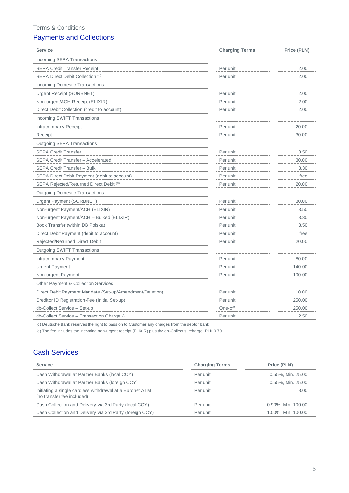### Terms & Conditions

# Payments and Collections

| <b>Service</b>                                           | <b>Charging Terms</b> | Price (PLN) |
|----------------------------------------------------------|-----------------------|-------------|
| Incoming SEPA Transactions                               |                       |             |
| <b>SEPA Credit Transfer Receipt</b>                      | Per unit              | 2.00        |
| SEPA Direct Debit Collection (d)                         | Per unit              | 2.00        |
| <b>Incoming Domestic Transactions</b>                    |                       |             |
| Urgent Receipt (SORBNET)                                 | Per unit              | 2.00        |
| Non-urgent/ACH Receipt (ELIXIR)                          | Per unit              | 2.00        |
| Direct Debit Collection (credit to account)              | Per unit              | 2.00        |
| Incoming SWIFT Transactions                              |                       |             |
| Intracompany Receipt                                     | Per unit              | 20.00       |
| Receipt                                                  | Per unit              | 30.00       |
| <b>Outgoing SEPA Transactions</b>                        |                       |             |
| <b>SEPA Credit Transfer</b>                              | Per unit              | 3.50        |
| <b>SEPA Credit Transfer - Accelerated</b>                | Per unit              | 30.00       |
| SEPA Credit Transfer - Bulk                              | Per unit              | 3.30        |
| SEPA Direct Debit Payment (debit to account)             | Per unit              | free        |
| SEPA Rejected/Returned Direct Debit (d)                  | Per unit              | 20.00       |
| <b>Outgoing Domestic Transactions</b>                    |                       |             |
| Urgent Payment (SORBNET)                                 | Per unit              | 30.00       |
| Non-urgent Payment/ACH (ELIXIR)                          | Per unit              | 3.50        |
| Non-urgent Payment/ACH - Bulked (ELIXIR)                 | Per unit              | 3.30        |
| Book Transfer (within DB Polska)                         | Per unit              | 3.50        |
| Direct Debit Payment (debit to account)                  | Per unit              | free        |
| Rejected/Returned Direct Debit                           | Per unit              | 20.00       |
| <b>Outgoing SWIFT Transactions</b>                       |                       |             |
| Intracompany Payment                                     | Per unit              | 80.00       |
| <b>Urgent Payment</b>                                    | Per unit              | 140.00      |
| Non-urgent Payment                                       | Per unit              | 100.00      |
| <b>Other Payment &amp; Collection Services</b>           |                       |             |
| Direct Debit Payment Mandate (Set-up/Amendment/Deletion) | Per unit              | 10.00       |
| Creditor ID Registration-Fee (Initial Set-up)            | Per unit              | 250.00      |
| db-Collect Service - Set-up                              | One-off               | 250.00      |
| db-Collect Service - Transaction Charge (e)              | Per unit              | 2.50        |

(d) Deutsche Bank reserves the right to pass on to Customer any charges from the debtor bank

(e) The fee includes the incoming non-urgent receipt (ELIXIR) plus the db-Collect surcharge: PLN 0.70

# Cash Services

| <b>Service</b>                                                                         | <b>Charging Terms</b> | Price (PLN)        |
|----------------------------------------------------------------------------------------|-----------------------|--------------------|
| Cash Withdrawal at Partner Banks (local CCY)                                           | Per unit              | 0.55%, Min. 25.00  |
| Cash Withdrawal at Partner Banks (foreign CCY)                                         | Per unit              | 0.55%, Min. 25.00  |
| Initiating a single cardless withdrawal at a Euronet ATM<br>(no transfer fee included) | Per unit              | 8.00               |
| Cash Collection and Delivery via 3rd Party (local CCY)                                 | Per unit              | 0.90%, Min. 100.00 |
| Cash Collection and Delivery via 3rd Party (foreign CCY)                               | Per unit              | 1.00%, Min. 100.00 |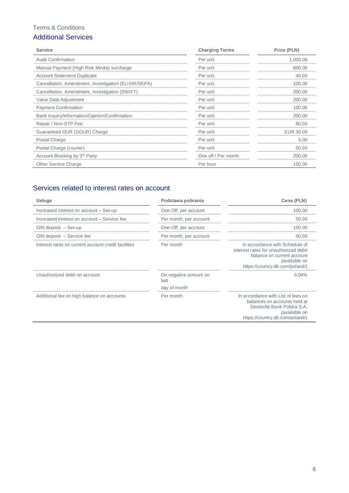### Terms & Conditions

### Additional Services

| <b>Service</b>                                       | <b>Charging Terms</b> | Price (PLN) |
|------------------------------------------------------|-----------------------|-------------|
| <b>Audit Confirmation</b>                            | Per unit              | 1,000.00    |
| Manual Payment (High Risk Media) surcharge           | Per unit              | 600.00      |
| <b>Account Statement Duplicate</b>                   | Per unit              | 40.00       |
| Cancellation, Amendment, Investigation (ELIXIR/SEPA) | Per unit              | 100.00      |
| Cancellation, Amendment, Investigation (SWIFT)       | Per unit              | 200.00      |
| Value Date Adjustment                                | Per unit              | 200.00      |
| <b>Payment Confirmation</b>                          | Per unit              | 100.00      |
| Bank Inquiry/Information/Opinion/Confirmation        | Per unit              | 200.00      |
| Repair / Non-STP Fee                                 | Per unit              | 60.00       |
| Guaranteed OUR (GOUR) Charge                         | Per unit              | EUR 30.00   |
| Postal Charge                                        | Per unit              | 5.00        |
| Postal Charge (courier)                              | Per unit              | 50.00       |
| Account Blocking by 3 <sup>rd</sup> Party            | One off / Per month   | 200.00      |
| <b>Other Service Charge</b>                          | Per hour              | 150.00      |

# Services related to interest rates on account

| Usługa                                              | Podstawa pobrania                             | Cena (PLN)                                                                                                                                                |
|-----------------------------------------------------|-----------------------------------------------|-----------------------------------------------------------------------------------------------------------------------------------------------------------|
| Increased interest on account - Set-up              | One-Off, per account                          | 100.00                                                                                                                                                    |
| Increased interest on account - Service fee         | Per month, per account                        | 50.00                                                                                                                                                     |
| $O/N$ deposit $-$ Set-up                            | One-Off, per account                          | 150.00                                                                                                                                                    |
| O/N deposit – Service fee                           | Per month, per account                        | 50.00                                                                                                                                                     |
| Interest rates on current account credit facilities | Per month                                     | In accordance with Schedule of<br>interest rates for unauthorized debit<br>balance on current account<br>(available on<br>https://country.db.com/poland/) |
| Unauthorized debit on account                       | On negative amount on<br>last<br>day of month | 0.04%                                                                                                                                                     |
| Additional fee on high balance on accounts          | Per month                                     | In accordance with List of fees on<br>balances on accounts held at<br>Deutsche Bank Polska S.A.<br>(available on<br>https://country.db.com/poland/)       |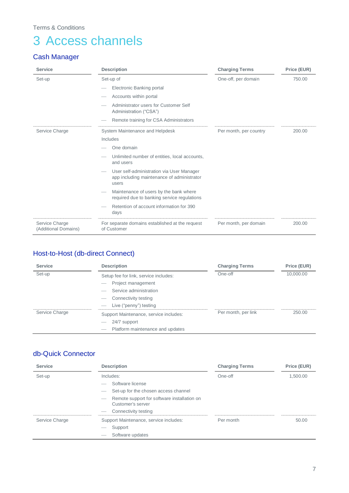# <span id="page-7-0"></span>3 Access channels

# Cash Manager

| <b>Service</b>                         | <b>Description</b>                                                                               | <b>Charging Terms</b>  | Price (EUR) |
|----------------------------------------|--------------------------------------------------------------------------------------------------|------------------------|-------------|
| Set-up                                 | Set-up of                                                                                        | One-off, per domain    | 750.00      |
|                                        | Electronic Banking portal                                                                        |                        |             |
|                                        | Accounts within portal                                                                           |                        |             |
|                                        | Administrator users for Customer Self<br>Administration ("CSA")                                  |                        |             |
|                                        | Remote training for CSA Administrators                                                           |                        |             |
| Service Charge                         | System Maintenance and Helpdesk                                                                  | Per month, per country | 200.00      |
|                                        | Includes                                                                                         |                        |             |
|                                        | One domain                                                                                       |                        |             |
|                                        | Unlimited number of entities, local accounts,<br>and users                                       |                        |             |
|                                        | User self-administration via User Manager<br>app including maintenance of administrator<br>users |                        |             |
|                                        | Maintenance of users by the bank where<br>required due to banking service regulations            |                        |             |
|                                        | Retention of account information for 390<br>days                                                 |                        |             |
| Service Charge<br>(Additional Domains) | For separate domains established at the request<br>of Customer                                   | Per month, per domain  | 200.00      |

# Host-to-Host (db-direct Connect)

| <b>Service</b> | <b>Description</b>                                           | <b>Charging Terms</b> | Price (EUR) |
|----------------|--------------------------------------------------------------|-----------------------|-------------|
| Set-up         | Setup fee for link, service includes:                        | One-off               | 10,000.00   |
|                | Project management                                           |                       |             |
|                | Service administration                                       |                       |             |
|                | Connectivity testing                                         |                       |             |
|                | Live ("penny") testing                                       |                       |             |
| Service Charge | Support Maintenance, service includes:                       | Per month, per link   | 250.00      |
|                | 24/7 support<br>_                                            |                       |             |
|                | Platform maintenance and updates<br>$\overline{\phantom{a}}$ |                       |             |

### db-Quick Connector

| <b>Service</b> | <b>Description</b>                                                     | <b>Charging Terms</b> | Price (EUR) |
|----------------|------------------------------------------------------------------------|-----------------------|-------------|
| Set-up         | Includes:                                                              | One-off               | 1,500.00    |
|                | Software license                                                       |                       |             |
|                | Set-up for the chosen access channel<br>_                              |                       |             |
|                | Remote support for software installation on<br>--<br>Customer's server |                       |             |
|                | Connectivity testing                                                   |                       |             |
| Service Charge | Support Maintenance, service includes:                                 | Per month             | 50.00       |
|                | Support<br>_                                                           |                       |             |
|                | Software updates<br>_                                                  |                       |             |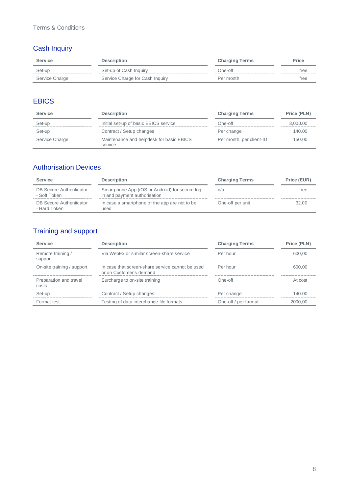# Cash Inquiry

| <b>Service</b> | <b>Description</b>              | <b>Charging Terms</b> | <b>Price</b> |
|----------------|---------------------------------|-----------------------|--------------|
| Set-up         | Set-up of Cash Inquiry          | One-off               | tree         |
| Service Charge | Service Charge for Cash Inquiry | Per month             | tree         |

# **EBICS**

| <b>Service</b> | <b>Description</b>                                  | <b>Charging Terms</b>    | Price (PLN) |
|----------------|-----------------------------------------------------|--------------------------|-------------|
| Set-up         | Initial set-up of basic EBICS service               | One-off                  | 3,000.00    |
| Set-up         | Contract / Setup changes                            | Per change               | 140.00      |
| Service Charge | Maintenance and helpdesk for basic EBICS<br>service | Per month, per client-ID | 150.00      |

# Authorisation Devices

| <b>Service</b>                          | <b>Description</b>                                                              | <b>Charging Terms</b> | Price (EUR) |
|-----------------------------------------|---------------------------------------------------------------------------------|-----------------------|-------------|
| DB Secure Authenticator<br>- Soft Token | Smartphone App (iOS or Android) for secure log-<br>in and payment authorisation | n/a                   | free        |
| DB Secure Authenticator<br>- Hard Token | In case a smartphone or the app are not to be<br>used                           | One-off per unit      | 32.00       |

# Training and support

| <b>Service</b>                  | <b>Description</b>                                                          | <b>Charging Terms</b> | Price (PLN) |
|---------------------------------|-----------------------------------------------------------------------------|-----------------------|-------------|
| Remote training /<br>support    | Via WebEx or similar screen-share service                                   | Per hour              | 600.00      |
| On-site training / support      | In case that screen-share service cannot be used<br>or on Customer's demand | Per hour              | 600.00      |
| Preparation and travel<br>costs | Surcharge to on-site training                                               | $One-off$             | At cost     |
| Set-up                          | Contract / Setup changes                                                    | Per change            | 140.00      |
| Format test                     | Testing of data interchange file formats                                    | One-off / per format  | 2000,00     |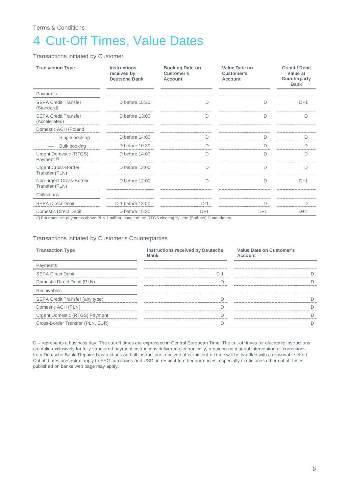# <span id="page-9-0"></span>4 Cut-Off Times, Value Dates

Transactions initiated by Customer

| <b>Transaction Type</b>                                 | Instructions<br>received by<br><b>Deutsche Bank</b> | <b>Booking Date on</b><br>Customer's<br>Account | Value Date on<br>Customer's<br><b>Account</b> | <b>Credit / Debit</b><br>Value at<br>Counterparty<br><b>Bank</b> |
|---------------------------------------------------------|-----------------------------------------------------|-------------------------------------------------|-----------------------------------------------|------------------------------------------------------------------|
| Payments                                                |                                                     |                                                 |                                               |                                                                  |
| <b>SEPA Credit Transfer</b><br>(Standard)               | D before $15:30$                                    | D                                               | D                                             | $D+1$                                                            |
| <b>SEPA Credit Transfer</b><br>(Accelerated)            | D before 13:00                                      | D                                               | D                                             | D                                                                |
| Domestic ACH (Poland                                    |                                                     |                                                 |                                               |                                                                  |
| Single booking                                          | D before $14:00$                                    | D                                               | D                                             | D                                                                |
| <b>Bulk booking</b>                                     | D before 10:30                                      | D                                               | D                                             | D                                                                |
| <b>Urgent Domestic (RTGS)</b><br>Payment <sup>(f)</sup> | D before $14:00$                                    | D                                               | D                                             | D                                                                |
| <b>Urgent Cross-Border</b><br>Transfer (PLN)            | D before $12:00$                                    | D                                               | D                                             | D                                                                |
| Non-urgent Cross-Border<br>Transfer (PLN)               | D before 12:00                                      | D                                               | D                                             | $D+1$                                                            |
| Collections                                             |                                                     |                                                 |                                               |                                                                  |
| <b>SEPA Direct Debit</b>                                | D-1 before 13:00                                    | $D-1$                                           | D                                             | D                                                                |
| <b>Domestic Direct Debit</b>                            | D before 15:30                                      | $D+1$                                           | $D+1$                                         | $D+1$                                                            |

(f) For domestic payments above PLN 1 million, usage of the RTGS clearing system (Sorbnet) is mandatory

#### Transactions initiated by Customer's Counterparties

| <b>Transaction Type</b>          | <b>Instructions received by Deutsche</b><br><b>Bank</b> | Value Date on Customer's<br>Account |
|----------------------------------|---------------------------------------------------------|-------------------------------------|
| Payments                         |                                                         |                                     |
| <b>SEPA Direct Debit</b>         | $D-1$                                                   |                                     |
| Domestic Direct Debit (PLN)      |                                                         |                                     |
| Receivables                      |                                                         |                                     |
| SEPA Credit Transfer (any type)  |                                                         | D                                   |
| Domestic ACH (PLN)               |                                                         | D                                   |
| Urgent Domestic (RTGS) Payment   |                                                         | n                                   |
| Cross-Border Transfer (PLN, EUR) |                                                         |                                     |

D – represents a business day. The cut-off times are expressed in Central European Time. The cut-off times for electronic instructions are valid exclusively for fully structured payment instructions delivered electronically, requiring no manual intervention or corrections from Deutsche Bank. Repaired instructions and all instructions received after this cut-off time will be handled with a reasonable effort. Cut off times presented apply to EEG currencies and USD, in respect to other currencies, especially exotic ones other cut off times published on banks web page may apply.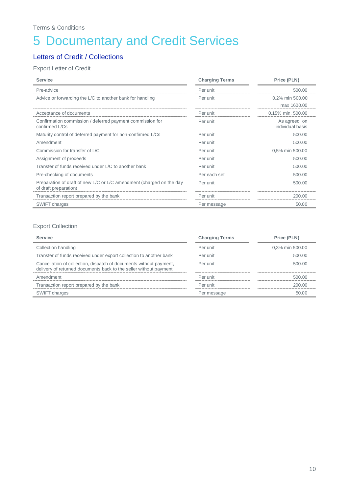# <span id="page-10-0"></span>5 Documentary and Credit Services

### Letters of Credit / Collections

### Export Letter of Credit

| <b>Service</b>                                                                                | <b>Charging Terms</b> | Price (PLN)                       |
|-----------------------------------------------------------------------------------------------|-----------------------|-----------------------------------|
| Pre-advice                                                                                    | Per unit              | 500.00                            |
| Advice or forwarding the L/C to another bank for handling                                     | Per unit              | 0,2% min 500.00                   |
|                                                                                               |                       | max 1600.00                       |
| Acceptance of documents                                                                       | Per unit              | 0,15% min. 500.00                 |
| Confirmation commission / deferred payment commission for<br>confirmed L/Cs                   | Per unit              | As agreed, on<br>individual basis |
| Maturity control of deferred payment for non-confirmed L/Cs                                   | Per unit              | 500.00                            |
| Amendment                                                                                     | Per unit              | 500.00                            |
| Commission for transfer of L/C                                                                | Per unit              | 0,5% min 500.00                   |
| Assignment of proceeds                                                                        | Per unit              | 500.00                            |
| Transfer of funds received under L/C to another bank                                          | Per unit              | 500.00                            |
| Pre-checking of documents                                                                     | Per each set          | 500.00                            |
| Preparation of draft of new L/C or L/C amendment (charged on the day<br>of draft preparation) | Per unit              | 500.00                            |
| Transaction report prepared by the bank                                                       | Per unit              | 200.00                            |
| SWIFT charges                                                                                 | Per message           | 50.00                             |

#### Export Collection

| <b>Service</b>                                                                                                                          | <b>Charging Terms</b> | Price (PLN)     |
|-----------------------------------------------------------------------------------------------------------------------------------------|-----------------------|-----------------|
| Collection handling                                                                                                                     | Per unit              | 0,3% min 500.00 |
| Transfer of funds received under export collection to another bank                                                                      | Per unit              | 500.00          |
| Cancellation of collection, dispatch of documents without payment,<br>delivery of returned documents back to the seller without payment | Per unit              | 500.00          |
| Amendment                                                                                                                               | Per unit              | 500.00          |
| Transaction report prepared by the bank                                                                                                 | Per unit              | 200.00          |
| SWIFT charges                                                                                                                           | Per message           | 50.00           |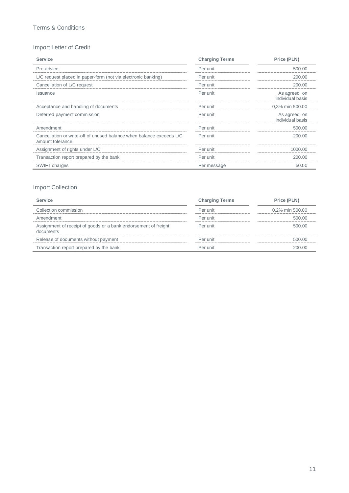### Import Letter of Credit

| <b>Service</b>                                                                           | <b>Charging Terms</b> | Price (PLN)                       |
|------------------------------------------------------------------------------------------|-----------------------|-----------------------------------|
| Pre-advice                                                                               | Per unit              | 500.00                            |
| L/C request placed in paper-form (not via electronic banking)                            | Per unit              | 200.00                            |
| Cancellation of L/C request                                                              | Per unit              | 200.00                            |
| <b>Issuance</b>                                                                          | Per unit              | As agreed, on<br>individual basis |
| Acceptance and handling of documents                                                     | Per unit              | 0,3% min 500.00                   |
| Deferred payment commission                                                              | Per unit              | As agreed, on<br>individual basis |
| Amendment                                                                                | Per unit              | 500.00                            |
| Cancellation or write-off of unused balance when balance exceeds L/C<br>amount tolerance | Per unit              | 200.00                            |
| Assignment of rights under L/C                                                           | Per unit              | 1000.00                           |
| Transaction report prepared by the bank                                                  | Per unit              | 200.00                            |
| <b>SWIFT charges</b>                                                                     | Per message           | 50.00                             |

### Import Collection

| <b>Service</b>                                                               | <b>Charging Terms</b> | Price (PLN)     |
|------------------------------------------------------------------------------|-----------------------|-----------------|
| Collection commission                                                        | Per unit              | 0.2% min 500.00 |
| Amendment                                                                    | Per unit              | 500.00          |
| Assignment of receipt of goods or a bank endorsement of freight<br>documents | Per unit              | 500.00          |
| Release of documents without payment                                         | Per unit              | 500.00          |
| Transaction report prepared by the bank                                      | Per unit              | 200.00          |